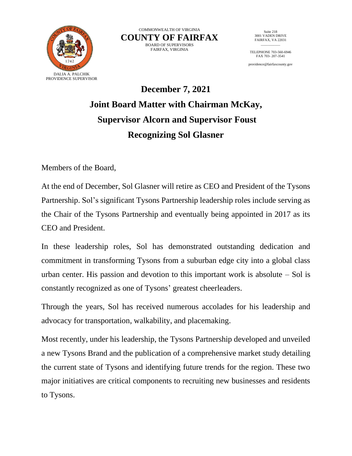

COMMONWEALTH OF VIRGINIA **COUNTY OF FAIRFAX** BOARD OF SUPERVISORS FAIRFAX, VIRGINIA

Suite 218 3001 VADEN DRIVE FAIRFAX, VA 22031  $\overline{\phantom{a}}$  .  $\overline{\phantom{a}}$ 

TELEPHONE 703-560-6946 FAX 703- 207-3541

providence@fairfaxcounty.gov

## **December 7, 2021 Joint Board Matter with Chairman McKay, Supervisor Alcorn and Supervisor Foust Recognizing Sol Glasner**

Members of the Board,

At the end of December, Sol Glasner will retire as CEO and President of the Tysons Partnership. Sol's significant Tysons Partnership leadership roles include serving as the Chair of the Tysons Partnership and eventually being appointed in 2017 as its CEO and President.

In these leadership roles, Sol has demonstrated outstanding dedication and commitment in transforming Tysons from a suburban edge city into a global class urban center. His passion and devotion to this important work is absolute  $-$  Sol is constantly recognized as one of Tysons' greatest cheerleaders.

Through the years, Sol has received numerous accolades for his leadership and advocacy for transportation, walkability, and placemaking.

Most recently, under his leadership, the Tysons Partnership developed and unveiled a new Tysons Brand and the publication of a comprehensive market study detailing the current state of Tysons and identifying future trends for the region. These two major initiatives are critical components to recruiting new businesses and residents to Tysons.